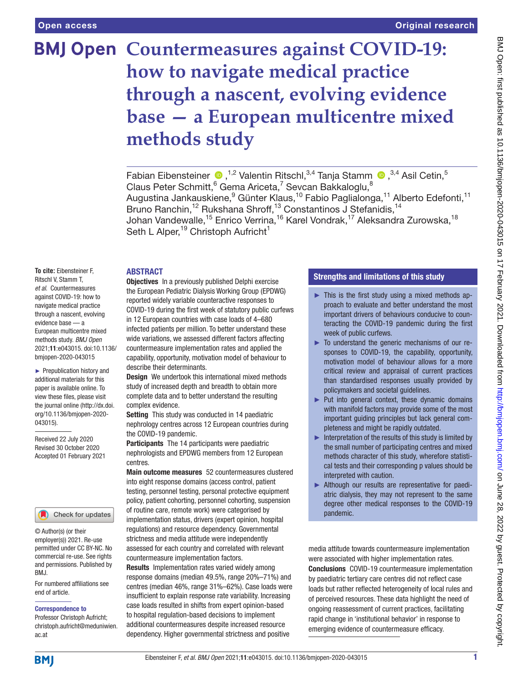# **BMJ Open Countermeasures against COVID-19: how to navigate medical practice through a nascent, evolving evidence base — a European multicentre mixed methods study**

Fabian Eibensteiner  $\bullet$ ,<sup>1,2</sup> Valentin Ritschl,<sup>3,4</sup> Tanja Stamm  $\bullet$ ,<sup>3,4</sup> Asil Cetin,<sup>5</sup> Claus Peter Schmitt,  $6$  Gema Ariceta,  $7$  Sevcan Bakkaloglu,  $8$ Augustina Jankauskiene, <sup>9</sup> Günter Klaus, <sup>10</sup> Fabio Paglialonga, <sup>11</sup> Alberto Edefonti, <sup>11</sup> Bruno Ranchin,<sup>12</sup> Rukshana Shroff,<sup>13</sup> Constantinos J Stefanidis,<sup>14</sup> Johan Vandewalle,<sup>15</sup> Enrico Verrina,<sup>16</sup> Karel Vondrak,<sup>17</sup> Aleksandra Zurowska,<sup>18</sup> Seth L Alper,<sup>19</sup> Christoph Aufricht<sup>1</sup>

## ABSTRACT

**To cite:** Eibensteiner F, Ritschl V, Stamm T, *et al*. Countermeasures against COVID-19: how to navigate medical practice through a nascent, evolving evidence base — a European multicentre mixed methods study. *BMJ Open* 2021;11:e043015. doi:10.1136/ bmjopen-2020-043015

► Prepublication history and additional materials for this paper is available online. To view these files, please visit the journal online (http://dx.doi. org/10.1136/bmjopen-2020- 043015).

Received 22 July 2020 Revised 30 October 2020 Accepted 01 February 2021



© Author(s) (or their employer(s)) 2021. Re-use permitted under CC BY-NC. No commercial re-use. See rights and permissions. Published by BMJ.

For numbered affiliations see end of article.

#### Correspondence to

Professor Christoph Aufricht; christoph.aufricht@meduniwien. ac.at

**Objectives** In a previously published Delphi exercise the European Pediatric Dialysis Working Group (EPDWG) reported widely variable counteractive responses to COVID-19 during the first week of statutory public curfews in 12 European countries with case loads of 4–680 infected patients per million. To better understand these wide variations, we assessed different factors affecting countermeasure implementation rates and applied the capability, opportunity, motivation model of behaviour to describe their determinants.

Design We undertook this international mixed methods study of increased depth and breadth to obtain more complete data and to better understand the resulting complex evidence.

Setting This study was conducted in 14 paediatric nephrology centres across 12 European countries during the COVID-19 pandemic.

Participants The 14 participants were paediatric nephrologists and EPDWG members from 12 European centres.

Main outcome measures 52 countermeasures clustered into eight response domains (access control, patient testing, personnel testing, personal protective equipment policy, patient cohorting, personnel cohorting, suspension of routine care, remote work) were categorised by implementation status, drivers (expert opinion, hospital regulations) and resource dependency. Governmental strictness and media attitude were independently assessed for each country and correlated with relevant countermeasure implementation factors.

Results Implementation rates varied widely among response domains (median 49.5%, range 20%–71%) and centres (median 46%, range 31%–62%). Case loads were insufficient to explain response rate variability. Increasing case loads resulted in shifts from expert opinion-based to hospital regulation-based decisions to implement additional countermeasures despite increased resource dependency. Higher governmental strictness and positive

# Strengths and limitations of this study

- ► This is the first study using a mixed methods approach to evaluate and better understand the most important drivers of behaviours conducive to counteracting the COVID-19 pandemic during the first week of public curfews.
- ► To understand the generic mechanisms of our responses to COVID-19, the capability, opportunity, motivation model of behaviour allows for a more critical review and appraisal of current practices than standardised responses usually provided by policymakers and societal guidelines.
- ► Put into general context, these dynamic domains with manifold factors may provide some of the most important guiding principles but lack general completeness and might be rapidly outdated.
- $\blacktriangleright$  Interpretation of the results of this study is limited by the small number of participating centres and mixed methods character of this study, wherefore statistical tests and their corresponding p values should be interpreted with caution.
- ► Although our results are representative for paediatric dialysis, they may not represent to the same degree other medical responses to the COVID-19 pandemic.

media attitude towards countermeasure implementation were associated with higher implementation rates. Conclusions COVID-19 countermeasure implementation by paediatric tertiary care centres did not reflect case loads but rather reflected heterogeneity of local rules and of perceived resources. These data highlight the need of ongoing reassessment of current practices, facilitating rapid change in 'institutional behavior' in response to emerging evidence of countermeasure efficacy.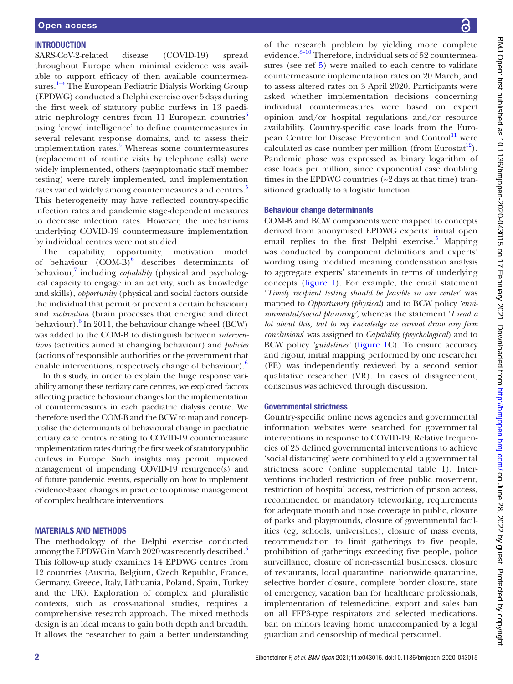# **INTRODUCTION**

SARS-CoV-2-related disease (COVID-19) spread throughout Europe when minimal evidence was available to support efficacy of then available countermeasures.<sup>1-4</sup> The European Pediatric Dialysis Working Group (EPDWG) conducted a Delphi exercise over 5days during the first week of statutory public curfews in 13 paediatric nephrology centres from  $11$  European countries<sup>[5](#page-9-1)</sup> using 'crowd intelligence' to define countermeasures in several relevant response domains, and to assess their implementation rates.<sup>[5](#page-9-1)</sup> Whereas some countermeasures (replacement of routine visits by telephone calls) were widely implemented, others (asymptomatic staff member testing) were rarely implemented, and implementation rates varied widely among countermeasures and centres.<sup>[5](#page-9-1)</sup> This heterogeneity may have reflected country-specific infection rates and pandemic stage-dependent measures to decrease infection rates. However, the mechanisms underlying COVID-19 countermeasure implementation by individual centres were not studied.

The capability, opportunity, motivation model of behaviour  $(COM-B)^6$  $(COM-B)^6$  describes determinants of behaviour,<sup>7</sup> including *capability* (physical and psychological capacity to engage in an activity, such as knowledge and skills), *opportunity* (physical and social factors outside the individual that permit or prevent a certain behaviour) and *motivation* (brain processes that energise and direct behaviour).<sup>[6](#page-9-2)</sup> In 2011, the behaviour change wheel (BCW) was added to the COM-B to distinguish between *interventions* (activities aimed at changing behaviour) and *policies* (actions of responsible authorities or the government that enable interventions, respectively change of behaviour).

In this study, in order to explain the huge response variability among these tertiary care centres, we explored factors affecting practice behaviour changes for the implementation of countermeasures in each paediatric dialysis centre. We therefore used the COM-B and the BCW to map and conceptualise the determinants of behavioural change in paediatric tertiary care centres relating to COVID-19 countermeasure implementation rates during the first week of statutory public curfews in Europe. Such insights may permit improved management of impending COVID-19 resurgence(s) and of future pandemic events, especially on how to implement evidence-based changes in practice to optimise management of complex healthcare interventions.

# MATERIALS AND METHODS

The methodology of the Delphi exercise conducted among the EPDWG in March 2020 was recently described.<sup>[5](#page-9-1)</sup> This follow-up study examines 14 EPDWG centres from 12 countries (Austria, Belgium, Czech Republic, France, Germany, Greece, Italy, Lithuania, Poland, Spain, Turkey and the UK). Exploration of complex and pluralistic contexts, such as cross-national studies, requires a comprehensive research approach. The mixed methods design is an ideal means to gain both depth and breadth. It allows the researcher to gain a better understanding of the research problem by yielding more complete evidence. $8-10$  Therefore, individual sets of 52 countermea-sures (see ref [5](#page-9-1)) were mailed to each centre to validate countermeasure implementation rates on 20 March, and to assess altered rates on 3 April 2020. Participants were asked whether implementation decisions concerning individual countermeasures were based on expert opinion and/or hospital regulations and/or resource availability. Country-specific case loads from the Euro-pean Centre for Disease Prevention and Control<sup>[11](#page-9-5)</sup> were calculated as case number per million (from Eurostat<sup>12</sup>). Pandemic phase was expressed as binary logarithm of case loads per million, since exponential case doubling times in the EPDWG countries (~2days at that time) transitioned gradually to a logistic function.

# Behaviour change determinants

COM-B and BCW components were mapped to concepts derived from anonymised EPDWG experts' initial open email replies to the first Delphi exercise.<sup>[5](#page-9-1)</sup> Mapping was conducted by component definitions and experts' wording using modified meaning condensation analysis to aggregate experts' statements in terms of underlying concepts [\(figure](#page-2-0) 1). For example, the email statement '*Timely recipient testing should be feasible in our center*' was mapped to *Opportunity (physical*) and to BCW policy *'environmental/social planning'*, whereas the statement '*I read a lot about this, but to my knowledge we cannot draw any firm conclusions*' was assigned to *Capability (psychological*) and to BCW policy *'guidelines'* [\(figure](#page-2-0) 1C). To ensure accuracy and rigour, initial mapping performed by one researcher (FE) was independently reviewed by a second senior qualitative researcher (VR). In cases of disagreement, consensus was achieved through discussion.

# Governmental strictness

Country-specific online news agencies and governmental information websites were searched for governmental interventions in response to COVID-19. Relative frequencies of 23 defined governmental interventions to achieve 'social distancing' were combined to yield a governmental strictness score ([online supplemental table 1\)](https://dx.doi.org/10.1136/bmjopen-2020-043015). Interventions included restriction of free public movement, restriction of hospital access, restriction of prison access, recommended or mandatory teleworking, requirements for adequate mouth and nose coverage in public, closure of parks and playgrounds, closure of governmental facilities (eg, schools, universities), closure of mass events, recommendation to limit gatherings to five people, prohibition of gatherings exceeding five people, police surveillance, closure of non-essential businesses, closure of restaurants, local quarantine*,* nationwide quarantine, selective border closure, complete border closure, state of emergency, vacation ban for healthcare professionals, implementation of telemedicine, export and sales ban on all FFP3-type respirators and selected medications, ban on minors leaving home unaccompanied by a legal guardian and censorship of medical personnel.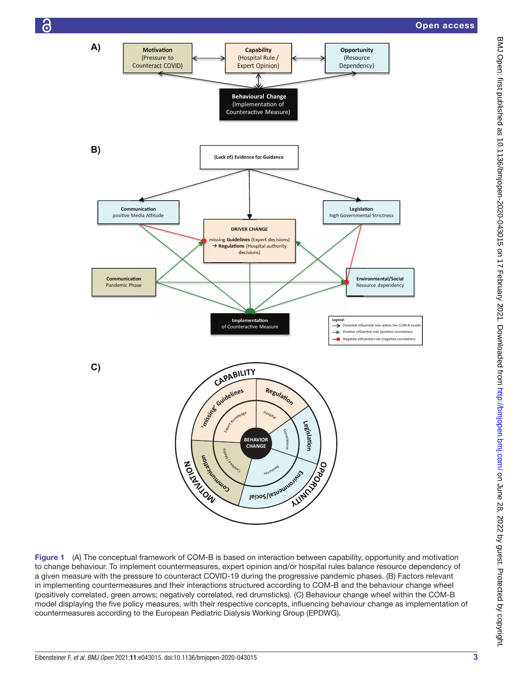

<span id="page-2-0"></span>Figure 1 (A) The conceptual framework of COM-B is based on interaction between capability, opportunity and motivation to change behaviour. To implement countermeasures, expert opinion and/or hospital rules balance resource dependency of a given measure with the pressure to counteract COVID-19 during the progressive pandemic phases. (B) Factors relevant in implementing countermeasures and their interactions structured according to COM-B and the behaviour change wheel (positively correlated, green arrows; negatively correlated, red drumsticks). (C) Behaviour change wheel within the COM-B model displaying the five policy measures, with their respective concepts, influencing behaviour change as implementation of countermeasures according to the European Pediatric Dialysis Working Group (EPDWG).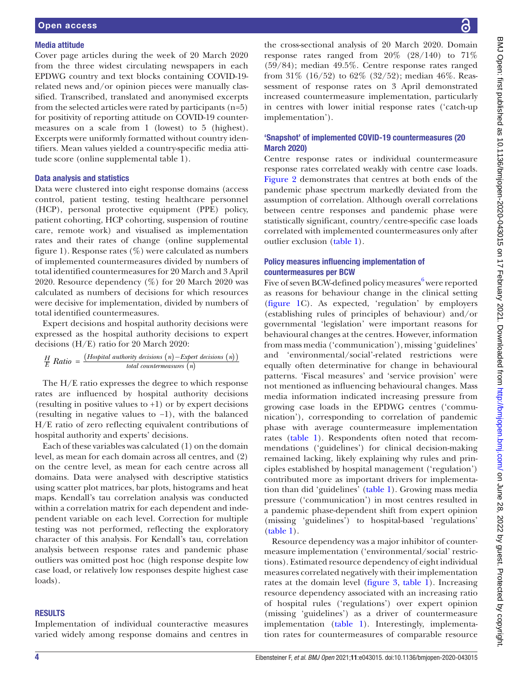#### Media attitude

Cover page articles during the week of 20 March 2020 from the three widest circulating newspapers in each EPDWG country and text blocks containing COVID-19 related news and/or opinion pieces were manually classified. Transcribed, translated and anonymised excerpts from the selected articles were rated by participants (n=5) for positivity of reporting attitude on COVID-19 countermeasures on a scale from 1 (lowest) to 5 (highest). Excerpts were uniformly formatted without country identifiers. Mean values yielded a country-specific media attitude score ([online supplemental table 1](https://dx.doi.org/10.1136/bmjopen-2020-043015)).

# Data analysis and statistics

Data were clustered into eight response domains (access control, patient testing, testing healthcare personnel (HCP), personal protective equipment (PPE) policy, patient cohorting, HCP cohorting, suspension of routine care, remote work) and visualised as implementation rates and their rates of change ([online supplemental](https://dx.doi.org/10.1136/bmjopen-2020-043015) [figure 1](https://dx.doi.org/10.1136/bmjopen-2020-043015)). Response rates (%) were calculated as numbers of implemented countermeasures divided by numbers of total identified countermeasures for 20 March and 3 April 2020. Resource dependency (%) for 20 March 2020 was calculated as numbers of decisions for which resources were decisive for implementation, divided by numbers of total identified countermeasures.

Expert decisions and hospital authority decisions were expressed as the hospital authority decisions to expert decisions (H/E) ratio for 20 March 2020:

$$
\frac{H}{E} Ratio = \frac{(Hospital \text{ authority decisions } (n) - Expert \text{ decisions } (n))}{total \text{ countermeasures } (n)}
$$

The H/E ratio expresses the degree to which response rates are influenced by hospital authority decisions (resulting in positive values to  $+1$ ) or by expert decisions (resulting in negative values to −1), with the balanced H/E ratio of zero reflecting equivalent contributions of hospital authority and experts' decisions.

Each of these variables was calculated (1) on the domain level, as mean for each domain across all centres, and (2) on the centre level, as mean for each centre across all domains. Data were analysed with descriptive statistics using scatter plot matrices, bar plots, histograms and heat maps. Kendall's tau correlation analysis was conducted within a correlation matrix for each dependent and independent variable on each level. Correction for multiple testing was not performed, reflecting the exploratory character of this analysis. For Kendall's tau, correlation analysis between response rates and pandemic phase outliers was omitted post hoc (high response despite low case load, or relatively low responses despite highest case loads).

#### **RESULTS**

Implementation of individual counteractive measures varied widely among response domains and centres in

the cross-sectional analysis of 20 March 2020. Domain response rates ranged from  $20\%$  ( $28/140$ ) to  $71\%$ (59/84); median 49.5%. Centre response rates ranged from 31% (16/52) to 62% (32/52); median 46%. Reassessment of response rates on 3 April demonstrated increased countermeasure implementation, particularly in centres with lower initial response rates ('catch-up implementation').

## 'Snapshot' of implemented COVID-19 countermeasures (20 March 2020)

Centre response rates or individual countermeasure response rates correlated weakly with centre case loads. [Figure](#page-4-0) 2 demonstrates that centres at both ends of the pandemic phase spectrum markedly deviated from the assumption of correlation. Although overall correlations between centre responses and pandemic phase were statistically significant, country/centre-specific case loads correlated with implemented countermeasures only after outlier exclusion [\(table](#page-5-0) 1).

# Policy measures influencing implementation of countermeasures per BCW

Five of seven BCW-defined policy measures<sup>[6](#page-9-2)</sup> were reported as reasons for behaviour change in the clinical setting [\(figure](#page-2-0) 1C). As expected, 'regulation' by employers (establishing rules of principles of behaviour) and/or governmental 'legislation' were important reasons for behavioural changes at the centres. However, information from mass media ('communication'), missing 'guidelines' and 'environmental/social'-related restrictions were equally often determinative for change in behavioural patterns. 'Fiscal measures' and 'service provision' were not mentioned as influencing behavioural changes. Mass media information indicated increasing pressure from growing case loads in the EPDWG centres ('communication'), corresponding to correlation of pandemic phase with average countermeasure implementation rates [\(table](#page-5-0) 1). Respondents often noted that recommendations ('guidelines') for clinical decision-making remained lacking, likely explaining why rules and principles established by hospital management ('regulation') contributed more as important drivers for implementation than did 'guidelines' [\(table](#page-5-0) 1). Growing mass media pressure ('communication') in most centres resulted in a pandemic phase-dependent shift from expert opinion (missing 'guidelines') to hospital-based 'regulations' [\(table](#page-5-0) 1).

Resource dependency was a major inhibitor of countermeasure implementation ('environmental/social' restrictions). Estimated resource dependency of eight individual measures correlated negatively with their implementation rates at the domain level ([figure](#page-6-0) 3, [table](#page-5-0) 1). Increasing resource dependency associated with an increasing ratio of hospital rules ('regulations') over expert opinion (missing 'guidelines') as a driver of countermeasure implementation ([table](#page-5-0) 1). Interestingly, implementation rates for countermeasures of comparable resource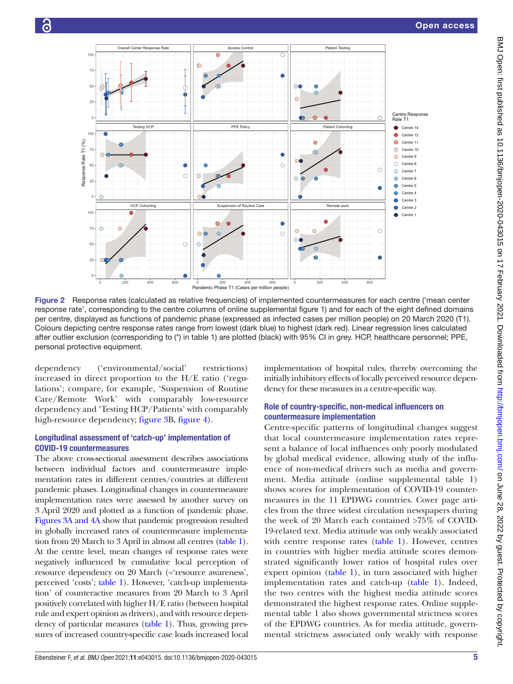

<span id="page-4-0"></span>Figure 2 Response rates (calculated as relative frequencies) of implemented countermeasures for each centre ('mean center response rate', corresponding to the centre columns of [online supplemental figure 1](https://dx.doi.org/10.1136/bmjopen-2020-043015)) and for each of the eight defined domains per centre, displayed as functions of pandemic phase (expressed as infected cases per million people) on 20 March 2020 (T1). Colours depicting centre response rates range from lowest (dark blue) to highest (dark red). Linear regression lines calculated after outlier exclusion (corresponding to (\*) in [table 1\)](#page-5-0) are plotted (black) with 95% CI in grey. HCP, healthcare personnel; PPE, personal protective equipment.

dependency ('environmental/social' restrictions) increased in direct proportion to the H/E ratio ('regulations'; compare, for example, 'Suspension of Routine Care/Remote Work' with comparably low-resource dependency and 'Testing HCP/Patients' with comparably high-resource dependency; [figure](#page-6-0) 3B, [figure](#page-6-1) 4).

# Longitudinal assessment of 'catch-up' implementation of COVID-19 countermeasures

The above cross-sectional assessment describes associations between individual factors and countermeasure implementation rates in different centres/countries at different pandemic phases. Longitudinal changes in countermeasure implementation rates were assessed by another survey on 3 April 2020 and plotted as a function of pandemic phase. Figures [3A and 4A](#page-6-0) show that pandemic progression resulted in globally increased rates of countermeasure implementation from 20 March to 3 April in almost all centres [\(table](#page-5-0) 1). At the centre level, mean changes of response rates were negatively influenced by cumulative local perception of resource dependency on 20 March (='resource awareness', perceived 'costs'; [table](#page-5-0) 1). However, 'catch-up implementation' of counteractive measures from 20 March to 3 April positively correlated with higher H/E ratio (between hospital rule and expert opinion as drivers), and with resource dependency of particular measures [\(table](#page-5-0) 1). Thus, growing pressures of increased country-specific case loads increased local initially inhibitory effects of locally perceived resource dependency for these measures in a centre-specific way. Role of country-specific, non-medical influencers on

implementation of hospital rules, thereby overcoming the

# countermeasure implementation

Centre-specific patterns of longitudinal changes suggest that local countermeasure implementation rates represent a balance of local influences only poorly modulated by global medical evidence, allowing study of the influence of non-medical drivers such as media and government. Media attitude [\(online supplemental table 1](https://dx.doi.org/10.1136/bmjopen-2020-043015)) shows scores for implementation of COVID-19 countermeasures in the 11 EPDWG countries. Cover page articles from the three widest circulation newspapers during the week of 20 March each contained >75% of COVID-19-related text. Media attitude was only weakly associated with centre response rates ([table](#page-5-0) 1). However, centres in countries with higher media attitude scores demonstrated significantly lower ratios of hospital rules over expert opinion [\(table](#page-5-0) 1), in turn associated with higher implementation rates and catch-up ([table](#page-5-0) 1). Indeed, the two centres with the highest media attitude scores demonstrated the highest response rates. [Online supple](https://dx.doi.org/10.1136/bmjopen-2020-043015)[mental table 1](https://dx.doi.org/10.1136/bmjopen-2020-043015) also shows governmental strictness scores of the EPDWG countries. As for media attitude, governmental strictness associated only weakly with response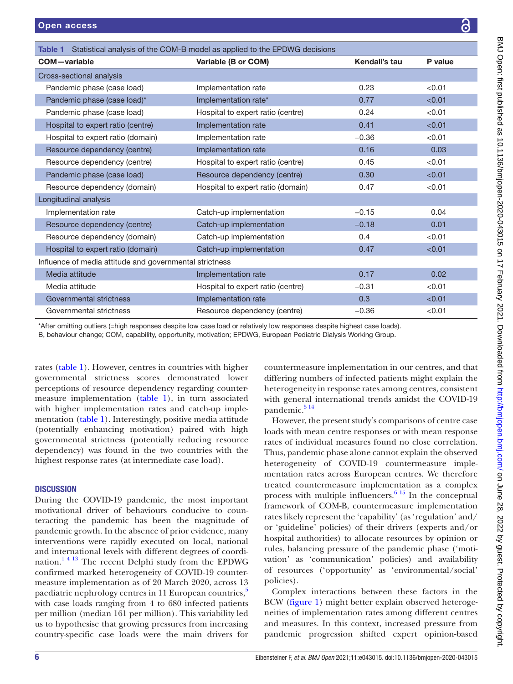<span id="page-5-0"></span>

| Statistical analysis of the COM-B model as applied to the EPDWG decisions<br>Table 1 |                                   |               |         |
|--------------------------------------------------------------------------------------|-----------------------------------|---------------|---------|
| <b>COM-variable</b>                                                                  | Variable (B or COM)               | Kendall's tau | P value |
| Cross-sectional analysis                                                             |                                   |               |         |
| Pandemic phase (case load)                                                           | Implementation rate               | 0.23          | < 0.01  |
| Pandemic phase (case load)*                                                          | Implementation rate*              | 0.77          | < 0.01  |
| Pandemic phase (case load)                                                           | Hospital to expert ratio (centre) | 0.24          | < 0.01  |
| Hospital to expert ratio (centre)                                                    | Implementation rate               | 0.41          | < 0.01  |
| Hospital to expert ratio (domain)                                                    | Implementation rate               | $-0.36$       | < 0.01  |
| Resource dependency (centre)                                                         | Implementation rate               | 0.16          | 0.03    |
| Resource dependency (centre)                                                         | Hospital to expert ratio (centre) | 0.45          | < 0.01  |
| Pandemic phase (case load)                                                           | Resource dependency (centre)      | 0.30          | < 0.01  |
| Resource dependency (domain)                                                         | Hospital to expert ratio (domain) | 0.47          | < 0.01  |
| Longitudinal analysis                                                                |                                   |               |         |
| Implementation rate                                                                  | Catch-up implementation           | $-0.15$       | 0.04    |
| Resource dependency (centre)                                                         | Catch-up implementation           | $-0.18$       | 0.01    |
| Resource dependency (domain)                                                         | Catch-up implementation           | 0.4           | < 0.01  |
| Hospital to expert ratio (domain)                                                    | Catch-up implementation           | 0.47          | < 0.01  |
| Influence of media attitude and governmental strictness                              |                                   |               |         |
| Media attitude                                                                       | Implementation rate               | 0.17          | 0.02    |
| Media attitude                                                                       | Hospital to expert ratio (centre) | $-0.31$       | < 0.01  |
| Governmental strictness                                                              | Implementation rate               | 0.3           | < 0.01  |
| Governmental strictness                                                              | Resource dependency (centre)      | $-0.36$       | < 0.01  |

\*After omitting outliers (=high responses despite low case load or relatively low responses despite highest case loads).

B, behaviour change; COM, capability, opportunity, motivation; EPDWG, European Pediatric Dialysis Working Group.

rates [\(table](#page-5-0) 1). However, centres in countries with higher governmental strictness scores demonstrated lower perceptions of resource dependency regarding countermeasure implementation [\(table](#page-5-0) 1), in turn associated with higher implementation rates and catch-up implementation ([table](#page-5-0) 1). Interestingly, positive media attitude (potentially enhancing motivation) paired with high governmental strictness (potentially reducing resource dependency) was found in the two countries with the highest response rates (at intermediate case load).

# **DISCUSSION**

During the COVID-19 pandemic, the most important motivational driver of behaviours conducive to counteracting the pandemic has been the magnitude of pandemic growth. In the absence of prior evidence, many interventions were rapidly executed on local, national and international levels with different degrees of coordination.<sup>14 13</sup> The recent Delphi study from the EPDWG confirmed marked heterogeneity of COVID-19 countermeasure implementation as of 20 March 2020, across 13 paediatric nephrology centres in 11 European countries,<sup>[5](#page-9-1)</sup> with case loads ranging from 4 to 680 infected patients per million (median 161 per million). This variability led us to hypothesise that growing pressures from increasing country-specific case loads were the main drivers for

countermeasure implementation in our centres, and that differing numbers of infected patients might explain the heterogeneity in response rates among centres, consistent with general international trends amidst the COVID-19 pandemic.<sup>514</sup>

However, the present study's comparisons of centre case loads with mean centre responses or with mean response rates of individual measures found no close correlation. Thus, pandemic phase alone cannot explain the observed heterogeneity of COVID-19 countermeasure implementation rates across European centres. We therefore treated countermeasure implementation as a complex process with multiple influencers.[6 15](#page-9-2) In the conceptual framework of COM-B, countermeasure implementation rates likely represent the 'capability' (as 'regulation' and/ or 'guideline' policies) of their drivers (experts and/or hospital authorities) to allocate resources by opinion or rules, balancing pressure of the pandemic phase ('motivation' as 'communication' policies) and availability of resources ('opportunity' as 'environmental/social' policies).

Complex interactions between these factors in the BCW [\(figure](#page-2-0) 1) might better explain observed heterogeneities of implementation rates among different centres and measures. In this context, increased pressure from pandemic progression shifted expert opinion-based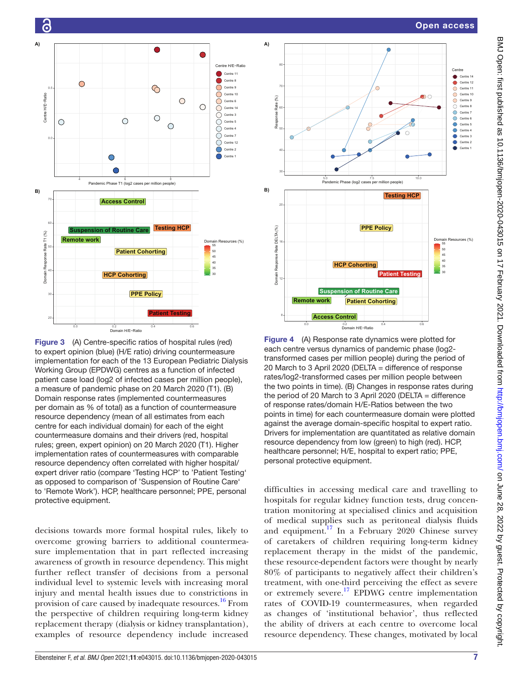

<span id="page-6-0"></span>Figure 3 (A) Centre-specific ratios of hospital rules (red) to expert opinion (blue) (H/E ratio) driving countermeasure implementation for each of the 13 European Pediatric Dialysis Working Group (EPDWG) centres as a function of infected patient case load (log2 of infected cases per million people), a measure of pandemic phase on 20 March 2020 (T1). (B) Domain response rates (implemented countermeasures per domain as % of total) as a function of countermeasure resource dependency (mean of all estimates from each centre for each individual domain) for each of the eight countermeasure domains and their drivers (red, hospital rules; green, expert opinion) on 20 March 2020 (T1). Higher implementation rates of countermeasures with comparable resource dependency often correlated with higher hospital/ expert driver ratio (compare 'Testing HCP' to 'Patient Testing' as opposed to comparison of 'Suspension of Routine Care' to 'Remote Work'). HCP, healthcare personnel; PPE, personal protective equipment.

decisions towards more formal hospital rules, likely to overcome growing barriers to additional countermeasure implementation that in part reflected increasing awareness of growth in resource dependency. This might further reflect transfer of decisions from a personal individual level to systemic levels with increasing moral injury and mental health issues due to constrictions in provision of care caused by inadequate resources.<sup>[16](#page-9-7)</sup> From the perspective of children requiring long-term kidney replacement therapy (dialysis or kidney transplantation), examples of resource dependency include increased



**A)**

30

20

**B)**

12

16

Domain Response Rate DELTA (%)

Domain Response Rate DELTA (%)

40

50

60

Response Rate (%)

Response Rate (%)

70

80

<span id="page-6-1"></span>

**Patient Cohorting**

**Sion of Routine Care** 

**Patient Testing** 

30 35 40 45 50 55 Domain Resources (%)

**Access Control**

**Remote work**

**HCP Cohorting**

difficulties in accessing medical care and travelling to hospitals for regular kidney function tests, drug concentration monitoring at specialised clinics and acquisition of medical supplies such as peritoneal dialysis fluids and equipment.<sup>[17](#page-9-8)</sup> In a February 2020 Chinese survey of caretakers of children requiring long-term kidney replacement therapy in the midst of the pandemic, these resource-dependent factors were thought by nearly 80% of participants to negatively affect their children's treatment, with one-third perceiving the effect as severe or extremely severe.[17](#page-9-8) EPDWG centre implementation rates of COVID-19 countermeasures, when regarded as changes of 'institutional behavior', thus reflected the ability of drivers at each centre to overcome local resource dependency. These changes, motivated by local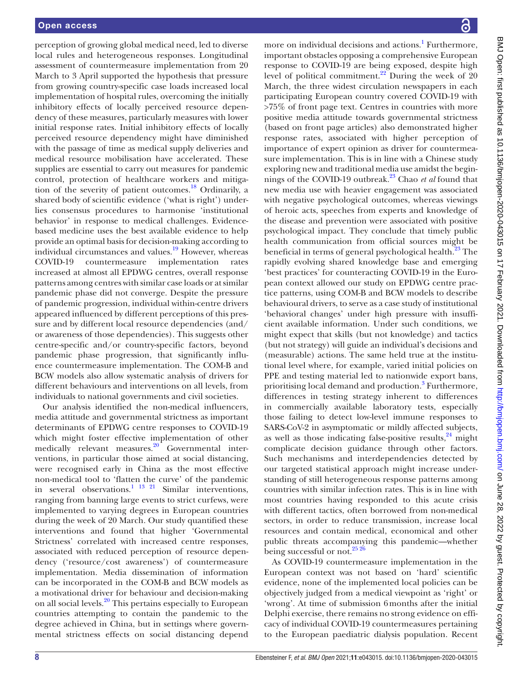perception of growing global medical need, led to diverse local rules and heterogeneous responses. Longitudinal assessment of countermeasure implementation from 20 March to 3 April supported the hypothesis that pressure from growing country-specific case loads increased local implementation of hospital rules, overcoming the initially inhibitory effects of locally perceived resource dependency of these measures, particularly measures with lower initial response rates. Initial inhibitory effects of locally perceived resource dependency might have diminished with the passage of time as medical supply deliveries and medical resource mobilisation have accelerated. These supplies are essential to carry out measures for pandemic control, protection of healthcare workers and mitigation of the severity of patient outcomes.<sup>18</sup> Ordinarily, a shared body of scientific evidence ('what is right') underlies consensus procedures to harmonise 'institutional behavior' in response to medical challenges. Evidencebased medicine uses the best available evidence to help provide an optimal basis for decision-making according to individual circumstances and values.<sup>19</sup> However, whereas COVID-19 countermeasure implementation rates increased at almost all EPDWG centres, overall response patterns among centres with similar case loads or at similar pandemic phase did not converge. Despite the pressure of pandemic progression, individual within-centre drivers appeared influenced by different perceptions of this pressure and by different local resource dependencies (and/ or awareness of those dependencies). This suggests other centre-specific and/or country-specific factors, beyond pandemic phase progression, that significantly influence countermeasure implementation. The COM-B and BCW models also allow systematic analysis of drivers for different behaviours and interventions on all levels, from individuals to national governments and civil societies.

Our analysis identified the non-medical influencers, media attitude and governmental strictness as important determinants of EPDWG centre responses to COVID-19 which might foster effective implementation of other medically relevant measures.<sup>20</sup> Governmental interventions, in particular those aimed at social distancing, were recognised early in China as the most effective non-medical tool to 'flatten the curve' of the pandemic in several observations.<sup>1 13 21</sup> Similar interventions, ranging from banning large events to strict curfews, were implemented to varying degrees in European countries during the week of 20 March. Our study quantified these interventions and found that higher 'Governmental Strictness' correlated with increased centre responses, associated with reduced perception of resource dependency ('resource/cost awareness') of countermeasure implementation. Media dissemination of information can be incorporated in the COM-B and BCW models as a motivational driver for behaviour and decision-making on all social levels.[20](#page-9-11) This pertains especially to European countries attempting to contain the pandemic to the degree achieved in China, but in settings where governmental strictness effects on social distancing depend

more on individual decisions and actions.<sup>[1](#page-9-0)</sup> Furthermore, important obstacles opposing a comprehensive European response to COVID-19 are being exposed, despite high level of political commitment. $^{22}$  $^{22}$  $^{22}$  During the week of 20 March, the three widest circulation newspapers in each participating European country covered COVID-19 with >75% of front page text. Centres in countries with more positive media attitude towards governmental strictness (based on front page articles) also demonstrated higher response rates, associated with higher perception of importance of expert opinion as driver for countermeasure implementation. This is in line with a Chinese study exploring new and traditional media use amidst the beginnings of the COVID-19 outbreak[.23](#page-9-13) Chao *et al* found that new media use with heavier engagement was associated with negative psychological outcomes, whereas viewings of heroic acts, speeches from experts and knowledge of the disease and prevention were associated with positive psychological impact. They conclude that timely public health communication from official sources might be beneficial in terms of general psychological health.<sup>23</sup> The rapidly evolving shared knowledge base and emerging 'best practices' for counteracting COVID-19 in the European context allowed our study on EPDWG centre practice patterns, using COM-B and BCW models to describe behavioural drivers, to serve as a case study of institutional 'behavioral changes' under high pressure with insufficient available information. Under such conditions, we might expect that skills (but not knowledge) and tactics (but not strategy) will guide an individual's decisions and (measurable) actions. The same held true at the institutional level where, for example, varied initial policies on PPE and testing material led to nationwide export bans, prioritising local demand and production.<sup>[3](#page-9-14)</sup> Furthermore, differences in testing strategy inherent to differences in commercially available laboratory tests, especially those failing to detect low-level immune responses to SARS-CoV-2 in asymptomatic or mildly affected subjects, as well as those indicating false-positive results, $^{24}$  might complicate decision guidance through other factors. Such mechanisms and interdependencies detected by our targeted statistical approach might increase understanding of still heterogeneous response patterns among countries with similar infection rates. This is in line with most countries having responded to this acute crisis with different tactics, often borrowed from non-medical sectors, in order to reduce transmission, increase local resources and contain medical, economical and other public threats accompanying this pandemic—whether being successful or not.<sup>25</sup> <sup>26</sup>

As COVID-19 countermeasure implementation in the European context was not based on 'hard' scientific evidence, none of the implemented local policies can be objectively judged from a medical viewpoint as 'right' or 'wrong'. At time of submission 6months after the initial Delphi exercise, there remains no strong evidence on efficacy of individual COVID-19 countermeasures pertaining to the European paediatric dialysis population. Recent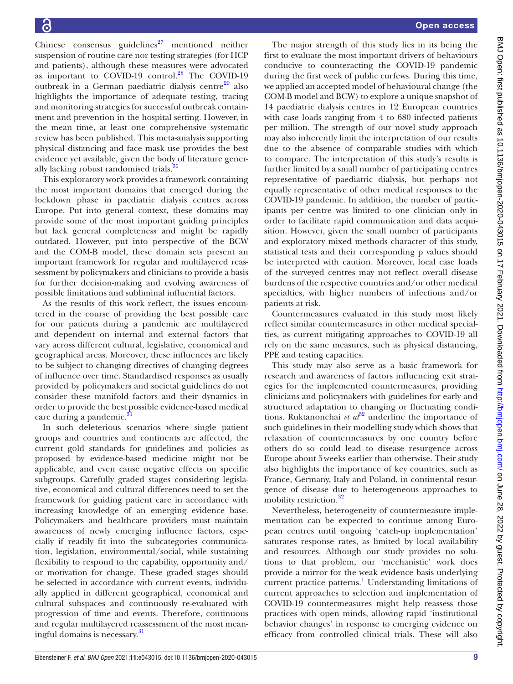Chinese consensus guidelines $^{27}$  mentioned neither suspension of routine care nor testing strategies (for HCP and patients), although these measures were advocated as important to COVID-19 control. $^{28}$  $^{28}$  $^{28}$  The COVID-19 outbreak in a German paediatric dialysis centre $^{29}$  also highlights the importance of adequate testing, tracing and monitoring strategies for successful outbreak containment and prevention in the hospital setting. However, in the mean time, at least one comprehensive systematic review has been published. This meta-analysis supporting physical distancing and face mask use provides the best evidence yet available, given the body of literature generally lacking robust randomised trials.<sup>30</sup>

This exploratory work provides a framework containing the most important domains that emerged during the lockdown phase in paediatric dialysis centres across Europe. Put into general context, these domains may provide some of the most important guiding principles but lack general completeness and might be rapidly outdated. However, put into perspective of the BCW and the COM-B model, these domain sets present an important framework for regular and multilayered reassessment by policymakers and clinicians to provide a basis for further decision-making and evolving awareness of possible limitations and subliminal influential factors.

As the results of this work reflect, the issues encountered in the course of providing the best possible care for our patients during a pandemic are multilayered and dependent on internal and external factors that vary across different cultural, legislative, economical and geographical areas. Moreover, these influences are likely to be subject to changing directives of changing degrees of influence over time. Standardised responses as usually provided by policymakers and societal guidelines do not consider these manifold factors and their dynamics in order to provide the best possible evidence-based medical care during a pandemic.<sup>3</sup>

In such deleterious scenarios where single patient groups and countries and continents are affected, the current gold standards for guidelines and policies as proposed by evidence-based medicine might not be applicable, and even cause negative effects on specific subgroups. Carefully graded stages considering legislative, economical and cultural differences need to set the framework for guiding patient care in accordance with increasing knowledge of an emerging evidence base. Policymakers and healthcare providers must maintain awareness of newly emerging influence factors, especially if readily fit into the subcategories communication, legislation, environmental/social, while sustaining flexibility to respond to the capability, opportunity and/ or motivation for change. These graded stages should be selected in accordance with current events, individually applied in different geographical, economical and cultural subspaces and continuously re-evaluated with progression of time and events. Therefore, continuous and regular multilayered reassessment of the most meaningful domains is necessary.[31](#page-10-4)

The major strength of this study lies in its being the first to evaluate the most important drivers of behaviours conducive to counteracting the COVID-19 pandemic during the first week of public curfews. During this time, we applied an accepted model of behavioural change (the COM-B model and BCW) to explore a unique snapshot of 14 paediatric dialysis centres in 12 European countries with case loads ranging from 4 to 680 infected patients per million. The strength of our novel study approach may also inherently limit the interpretation of our results due to the absence of comparable studies with which to compare. The interpretation of this study's results is further limited by a small number of participating centres representative of paediatric dialysis, but perhaps not equally representative of other medical responses to the COVID-19 pandemic. In addition, the number of participants per centre was limited to one clinician only in order to facilitate rapid communication and data acquisition. However, given the small number of participants and exploratory mixed methods character of this study, statistical tests and their corresponding p values should be interpreted with caution. Moreover, local case loads of the surveyed centres may not reflect overall disease burdens of the respective countries and/or other medical specialties, with higher numbers of infections and/or patients at risk.

Countermeasures evaluated in this study most likely reflect similar countermeasures in other medical specialties, as current mitigating approaches to COVID-19 all rely on the same measures, such as physical distancing, PPE and testing capacities.

This study may also serve as a basic framework for research and awareness of factors influencing exit strategies for the implemented countermeasures, providing clinicians and policymakers with guidelines for early and structured adaptation to changing or fluctuating conditions. Ruktanonchai *et al*<sup>32</sup> underline the importance of such guidelines in their modelling study which shows that relaxation of countermeasures by one country before others do so could lead to disease resurgence across Europe about 5weeks earlier than otherwise. Their study also highlights the importance of key countries, such as France, Germany, Italy and Poland, in continental resurgence of disease due to heterogeneous approaches to mobility restriction.<sup>[32](#page-10-5)</sup>

Nevertheless, heterogeneity of countermeasure implementation can be expected to continue among European centres until ongoing 'catch-up implementation' saturates response rates, as limited by local availability and resources. Although our study provides no solutions to that problem, our 'mechanistic' work does provide a mirror for the weak evidence basis underlying current practice patterns.<sup>[1](#page-9-0)</sup> Understanding limitations of current approaches to selection and implementation of COVID-19 countermeasures might help reassess those practices with open minds, allowing rapid 'institutional behavior changes' in response to emerging evidence on efficacy from controlled clinical trials. These will also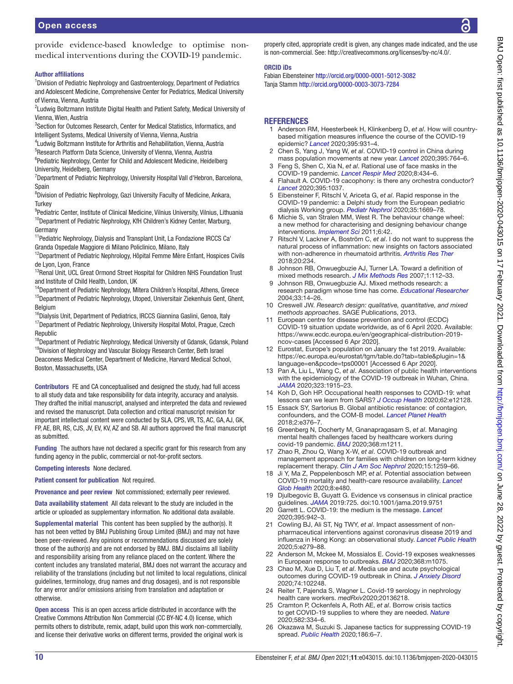provide evidence-based knowledge to optimise nonmedical interventions during the COVID-19 pandemic.

#### Author affiliations

<sup>1</sup> Division of Pediatric Nephrology and Gastroenterology, Department of Pediatrics and Adolescent Medicine, Comprehensive Center for Pediatrics, Medical University of Vienna, Vienna, Austria

<sup>2</sup>Ludwig Boltzmann Institute Digital Health and Patient Safety, Medical University of Vienna, Wien, Austria

3 Section for Outcomes Research, Center for Medical Statistics, Informatics, and Intelligent Systems, Medical University of Vienna, Vienna, Austria

4 Ludwig Boltzmann Institute for Arthritis and Rehabilitation, Vienna, Austria 5 Research Platform Data Science, University of Vienna, Vienna, Austria <sup>6</sup>Pediatric Nephrology, Center for Child and Adolescent Medicine, Heidelberg

University, Heidelberg, Germany

<sup>7</sup>Department of Pediatric Nephrology, University Hospital Vall d'Hebron, Barcelona, Spain

<sup>8</sup>Division of Pediatric Nephrology, Gazi University Faculty of Medicine, Ankara, **Turkey** 

<sup>9</sup>Pediatric Center, Institute of Clinical Medicine, Vilnius University, Vilnius, Lithuania <sup>10</sup>Department of Pediatric Nephrology, KfH Children's Kidney Center, Marburg, Germany

<sup>11</sup> Pediatric Nephrology, Dialysis and Transplant Unit, La Fondazione IRCCS Ca' Granda Ospedale Maggiore di Milano Policlinico, Milano, Italy

<sup>12</sup>Department of Pediatric Nephrology, Hôpital Femme Mère Enfant, Hospices Civils de Lyon, Lyon, France

<sup>13</sup>Renal Unit, UCL Great Ormond Street Hospital for Children NHS Foundation Trust and Institute of Child Health, London, UK

<sup>14</sup>Department of Pediatric Nephrology, Mitera Children's Hospital, Athens, Greece <sup>15</sup>Department of Pediatric Nephrology, Utoped, Universitair Ziekenhuis Gent, Ghent, Belgium

<sup>16</sup>Dialysis Unit, Department of Pediatrics, IRCCS Giannina Gaslini, Genoa, Italy <sup>17</sup>Department of Pediatric Nephrology, University Hospital Motol, Prague, Czech Republic

<sup>18</sup>Department of Pediatric Nephrology, Medical University of Gdansk, Gdansk, Poland <sup>19</sup>Division of Nephrology and Vascular Biology Research Center, Beth Israel

Deaconess Medical Center, Department of Medicine, Harvard Medical School, Boston, Massachusetts, USA

Contributors FE and CA conceptualised and designed the study, had full access to all study data and take responsibility for data integrity, accuracy and analysis. They drafted the initial manuscript, analysed and interpreted the data and reviewed and revised the manuscript. Data collection and critical manuscript revision for important intellectual content were conducted by SLA, CPS, VR, TS, AC, GA, AJ, GK, FP, AE, BR, RS, CJS, JV, EV, KV, AZ and SB. All authors approved the final manuscript as submitted.

Funding The authors have not declared a specific grant for this research from any funding agency in the public, commercial or not-for-profit sectors.

Competing interests None declared.

Patient consent for publication Not required.

Provenance and peer review Not commissioned; externally peer reviewed.

Data availability statement All data relevant to the study are included in the article or uploaded as supplementary information. No additional data available.

Supplemental material This content has been supplied by the author(s). It has not been vetted by BMJ Publishing Group Limited (BMJ) and may not have been peer-reviewed. Any opinions or recommendations discussed are solely those of the author(s) and are not endorsed by BMJ. BMJ disclaims all liability and responsibility arising from any reliance placed on the content. Where the content includes any translated material, BMJ does not warrant the accuracy and reliability of the translations (including but not limited to local regulations, clinical guidelines, terminology, drug names and drug dosages), and is not responsible for any error and/or omissions arising from translation and adaptation or otherwise.

Open access This is an open access article distributed in accordance with the Creative Commons Attribution Non Commercial (CC BY-NC 4.0) license, which permits others to distribute, remix, adapt, build upon this work non-commercially, and license their derivative works on different terms, provided the original work is properly cited, appropriate credit is given, any changes made indicated, and the use is non-commercial. See: [http://creativecommons.org/licenses/by-nc/4.0/.](http://creativecommons.org/licenses/by-nc/4.0/)

#### ORCID iDs

Fabian Eibensteiner <http://orcid.org/0000-0001-5012-3082> Tanja Stamm<http://orcid.org/0000-0003-3073-7284>

# REFERENCES

- <span id="page-9-0"></span>1 Anderson RM, Heesterbeek H, Klinkenberg D, *et al*. How will countrybased mitigation measures influence the course of the COVID-19 epidemic? *[Lancet](http://dx.doi.org/10.1016/S0140-6736(20)30567-5)* 2020;395:931–4.
- 2 Chen S, Yang J, Yang W, *et al*. COVID-19 control in China during mass population movements at new year. *[Lancet](http://dx.doi.org/10.1016/S0140-6736(20)30421-9)* 2020;395:764–6.
- <span id="page-9-14"></span>3 Feng S, Shen C, Xia N, *et al*. Rational use of face masks in the COVID-19 pandemic. *[Lancet Respir Med](http://dx.doi.org/10.1016/S2213-2600(20)30134-X)* 2020;8:434–6.
- 4 Flahault A. COVID-19 cacophony: is there any orchestra conductor? *[Lancet](http://dx.doi.org/10.1016/S0140-6736(20)30491-8)* 2020;395:1037.
- <span id="page-9-1"></span>5 Eibensteiner F, Ritschl V, Ariceta G, *et al*. Rapid response in the COVID-19 pandemic: a Delphi study from the European pediatric dialysis Working group. *[Pediatr Nephrol](http://dx.doi.org/10.1007/s00467-020-04584-6)* 2020;35:1669–78.
- <span id="page-9-2"></span>6 Michie S, van Stralen MM, West R. The behaviour change wheel: a new method for characterising and designing behaviour change interventions. *[Implement Sci](http://dx.doi.org/10.1186/1748-5908-6-42)* 2011;6:42.
- <span id="page-9-3"></span>7 Ritschl V, Lackner A, Boström C, *et al*. I do not want to suppress the natural process of inflammation: new insights on factors associated with non-adherence in rheumatoid arthritis. *[Arthritis Res Ther](http://dx.doi.org/10.1186/s13075-018-1732-7)* 2018;20:234.
- <span id="page-9-4"></span>8 Johnson RB, Onwuegbuzie AJ, Turner LA. Toward a definition of mixed methods research. *[J Mix Methods Res](http://dx.doi.org/10.1177/1558689806298224)* 2007;1:112–33.
- 9 Johnson RB, Onwuegbuzie AJ. Mixed methods research: a research paradigm whose time has come. *[Educational Researcher](http://dx.doi.org/10.3102/0013189X033007014)* 2004;33:14–26.
- 10 Creswell JW. *Research design: qualitative, quantitative, and mixed methods approaches*. SAGE Publications, 2013.
- <span id="page-9-5"></span>11 European centre for disease prevention and control (ECDC) COVID-19 situation update worldwide, as of 6 April 2020. Available: [https://www.ecdc.europa.eu/en/geographical-distribution-2019](https://www.ecdc.europa.eu/en/geographical-distribution-2019-ncov-cases) [ncov-cases](https://www.ecdc.europa.eu/en/geographical-distribution-2019-ncov-cases) [Accessed 6 Apr 2020].
- <span id="page-9-6"></span>12 Eurostat, Europe's population on January the 1st 2019. Available: [https://ec.europa.eu/eurostat/tgm/table.do?tab=table&plugin=1&](https://ec.europa.eu/eurostat/tgm/table.do?tab=table&plugin=1&language=en&pcode=tps00001) [language=en&pcode=tps00001](https://ec.europa.eu/eurostat/tgm/table.do?tab=table&plugin=1&language=en&pcode=tps00001) [Accessed 6 Apr 2020].
- 13 Pan A, Liu L, Wang C, *et al*. Association of public health interventions with the epidemiology of the COVID-19 outbreak in Wuhan, China. *[JAMA](http://dx.doi.org/10.1001/jama.2020.6130)* 2020;323:1915–23.
- 14 Koh D, Goh HP. Occupational health responses to COVID-19: what lessons can we learn from SARS? *[J Occup Health](http://dx.doi.org/10.1002/1348-9585.12128)* 2020;62:e12128.
- 15 Essack SY, Sartorius B. Global antibiotic resistance: of contagion, confounders, and the COM-B model. *[Lancet Planet Health](http://dx.doi.org/10.1016/S2542-5196(18)30187-6)* 2018;2:e376–7.
- <span id="page-9-7"></span>16 Greenberg N, Docherty M, Gnanapragasam S, *et al*. Managing mental health challenges faced by healthcare workers during covid-19 pandemic. *[BMJ](http://dx.doi.org/10.1136/bmj.m1211)* 2020;368:m1211.
- <span id="page-9-8"></span>17 Zhao R, Zhou Q, Wang X-W, *et al*. COVID-19 outbreak and management approach for families with children on long-term kidney replacement therapy. *[Clin J Am Soc Nephrol](http://dx.doi.org/10.2215/CJN.03630320)* 2020;15:1259–66.
- <span id="page-9-9"></span>18 Ji Y, Ma Z, Peppelenbosch MP, *et al*. Potential association between COVID-19 mortality and health-care resource availability. *[Lancet](http://dx.doi.org/10.1016/S2214-109X(20)30068-1)  [Glob Health](http://dx.doi.org/10.1016/S2214-109X(20)30068-1)* 2020;8:e480.
- <span id="page-9-10"></span>19 Djulbegovic B, Guyatt G. Evidence vs consensus in clinical practice guidelines. *[JAMA](http://dx.doi.org/10.1001/jama.2019.9751)* 2019:725. doi:10.1001/jama.2019.9751
- <span id="page-9-11"></span>20 Garrett L. COVID-19: the medium is the message. *[Lancet](http://dx.doi.org/10.1016/S0140-6736(20)30600-0)* 2020;395:942–3.
- 21 Cowling BJ, Ali ST, Ng TWY, *et al*. Impact assessment of nonpharmaceutical interventions against coronavirus disease 2019 and influenza in Hong Kong: an observational study. *[Lancet Public Health](http://dx.doi.org/10.1016/S2468-2667(20)30090-6)* 2020;5:e279–88.
- <span id="page-9-12"></span>22 Anderson M, Mckee M, Mossialos E. Covid-19 exposes weaknesses in European response to outbreaks. *[BMJ](http://dx.doi.org/10.1136/bmj.m1075)* 2020;368:m1075.
- <span id="page-9-13"></span>23 Chao M, Xue D, Liu T, *et al*. Media use and acute psychological outcomes during COVID-19 outbreak in China. *[J Anxiety Disord](http://dx.doi.org/10.1016/j.janxdis.2020.102248)* 2020;74:102248.
- <span id="page-9-15"></span>24 Reiter T, Pajenda S, Wagner L. Covid-19 serology in nephrology health care workers. *medRxiv*2020;20136218.
- <span id="page-9-16"></span>25 Cramton P, Ockenfels A, Roth AE, *et al*. Borrow crisis tactics to get COVID-19 supplies to where they are needed. *[Nature](http://dx.doi.org/10.1038/d41586-020-01750-6)* 2020;582:334–6.
- 26 Okazawa M, Suzuki S. Japanese tactics for suppressing COVID-19 spread. *[Public Health](http://dx.doi.org/10.1016/j.puhe.2020.07.012)* 2020;186:6–7.